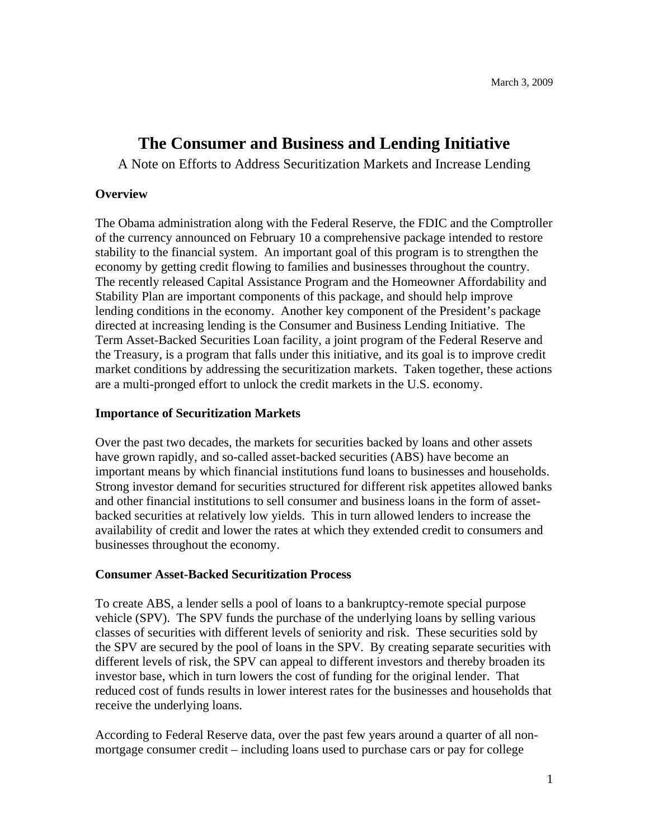# **The Consumer and Business and Lending Initiative**

A Note on Efforts to Address Securitization Markets and Increase Lending

## **Overview**

The Obama administration along with the Federal Reserve, the FDIC and the Comptroller of the currency announced on February 10 a comprehensive package intended to restore stability to the financial system. An important goal of this program is to strengthen the economy by getting credit flowing to families and businesses throughout the country. The recently released Capital Assistance Program and the Homeowner Affordability and Stability Plan are important components of this package, and should help improve lending conditions in the economy. Another key component of the President's package directed at increasing lending is the Consumer and Business Lending Initiative. The Term Asset-Backed Securities Loan facility, a joint program of the Federal Reserve and the Treasury, is a program that falls under this initiative, and its goal is to improve credit market conditions by addressing the securitization markets. Taken together, these actions are a multi-pronged effort to unlock the credit markets in the U.S. economy.

## **Importance of Securitization Markets**

Over the past two decades, the markets for securities backed by loans and other assets have grown rapidly, and so-called asset-backed securities (ABS) have become an important means by which financial institutions fund loans to businesses and households. Strong investor demand for securities structured for different risk appetites allowed banks and other financial institutions to sell consumer and business loans in the form of assetbacked securities at relatively low yields. This in turn allowed lenders to increase the availability of credit and lower the rates at which they extended credit to consumers and businesses throughout the economy.

#### **Consumer Asset-Backed Securitization Process**

To create ABS, a lender sells a pool of loans to a bankruptcy-remote special purpose vehicle (SPV). The SPV funds the purchase of the underlying loans by selling various classes of securities with different levels of seniority and risk. These securities sold by the SPV are secured by the pool of loans in the SPV. By creating separate securities with different levels of risk, the SPV can appeal to different investors and thereby broaden its investor base, which in turn lowers the cost of funding for the original lender. That reduced cost of funds results in lower interest rates for the businesses and households that receive the underlying loans.

According to Federal Reserve data, over the past few years around a quarter of all nonmortgage consumer credit – including loans used to purchase cars or pay for college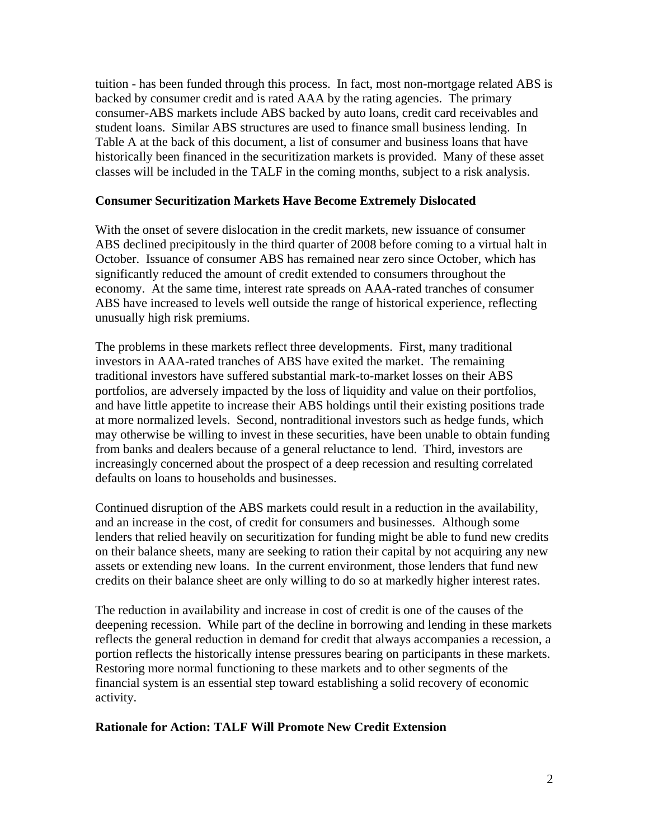tuition - has been funded through this process. In fact, most non-mortgage related ABS is backed by consumer credit and is rated AAA by the rating agencies. The primary consumer-ABS markets include ABS backed by auto loans, credit card receivables and student loans. Similar ABS structures are used to finance small business lending. In Table A at the back of this document, a list of consumer and business loans that have historically been financed in the securitization markets is provided. Many of these asset classes will be included in the TALF in the coming months, subject to a risk analysis.

#### **Consumer Securitization Markets Have Become Extremely Dislocated**

With the onset of severe dislocation in the credit markets, new issuance of consumer ABS declined precipitously in the third quarter of 2008 before coming to a virtual halt in October. Issuance of consumer ABS has remained near zero since October, which has significantly reduced the amount of credit extended to consumers throughout the economy. At the same time, interest rate spreads on AAA-rated tranches of consumer ABS have increased to levels well outside the range of historical experience, reflecting unusually high risk premiums.

The problems in these markets reflect three developments. First, many traditional investors in AAA-rated tranches of ABS have exited the market. The remaining traditional investors have suffered substantial mark-to-market losses on their ABS portfolios, are adversely impacted by the loss of liquidity and value on their portfolios, and have little appetite to increase their ABS holdings until their existing positions trade at more normalized levels. Second, nontraditional investors such as hedge funds, which may otherwise be willing to invest in these securities, have been unable to obtain funding from banks and dealers because of a general reluctance to lend. Third, investors are increasingly concerned about the prospect of a deep recession and resulting correlated defaults on loans to households and businesses.

Continued disruption of the ABS markets could result in a reduction in the availability, and an increase in the cost, of credit for consumers and businesses. Although some lenders that relied heavily on securitization for funding might be able to fund new credits on their balance sheets, many are seeking to ration their capital by not acquiring any new assets or extending new loans. In the current environment, those lenders that fund new credits on their balance sheet are only willing to do so at markedly higher interest rates.

The reduction in availability and increase in cost of credit is one of the causes of the deepening recession. While part of the decline in borrowing and lending in these markets reflects the general reduction in demand for credit that always accompanies a recession, a portion reflects the historically intense pressures bearing on participants in these markets. Restoring more normal functioning to these markets and to other segments of the financial system is an essential step toward establishing a solid recovery of economic activity.

#### **Rationale for Action: TALF Will Promote New Credit Extension**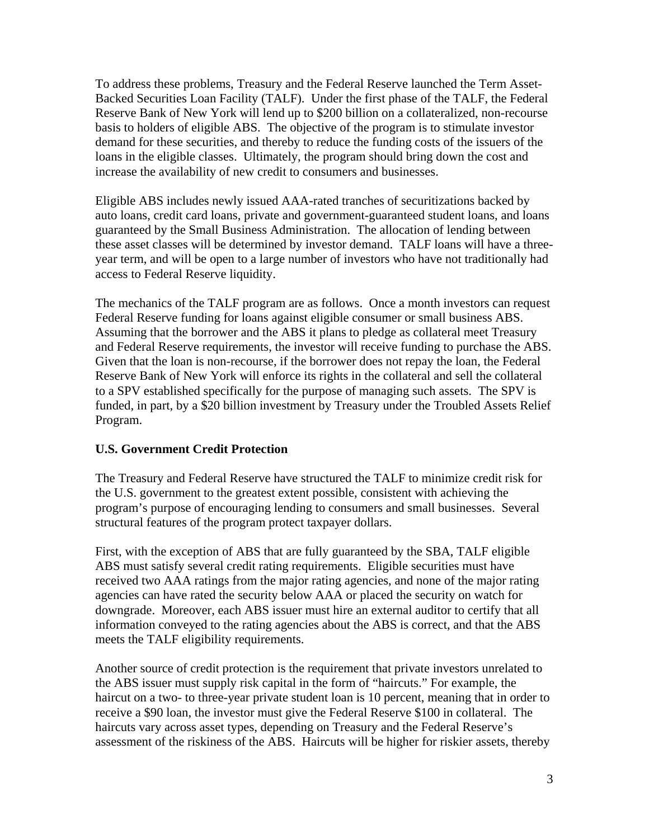To address these problems, Treasury and the Federal Reserve launched the Term Asset-Backed Securities Loan Facility (TALF). Under the first phase of the TALF, the Federal Reserve Bank of New York will lend up to \$200 billion on a collateralized, non-recourse basis to holders of eligible ABS. The objective of the program is to stimulate investor demand for these securities, and thereby to reduce the funding costs of the issuers of the loans in the eligible classes. Ultimately, the program should bring down the cost and increase the availability of new credit to consumers and businesses.

Eligible ABS includes newly issued AAA-rated tranches of securitizations backed by auto loans, credit card loans, private and government-guaranteed student loans, and loans guaranteed by the Small Business Administration. The allocation of lending between these asset classes will be determined by investor demand. TALF loans will have a threeyear term, and will be open to a large number of investors who have not traditionally had access to Federal Reserve liquidity.

The mechanics of the TALF program are as follows. Once a month investors can request Federal Reserve funding for loans against eligible consumer or small business ABS. Assuming that the borrower and the ABS it plans to pledge as collateral meet Treasury and Federal Reserve requirements, the investor will receive funding to purchase the ABS. Given that the loan is non-recourse, if the borrower does not repay the loan, the Federal Reserve Bank of New York will enforce its rights in the collateral and sell the collateral to a SPV established specifically for the purpose of managing such assets. The SPV is funded, in part, by a \$20 billion investment by Treasury under the Troubled Assets Relief Program.

# **U.S. Government Credit Protection**

The Treasury and Federal Reserve have structured the TALF to minimize credit risk for the U.S. government to the greatest extent possible, consistent with achieving the program's purpose of encouraging lending to consumers and small businesses. Several structural features of the program protect taxpayer dollars.

First, with the exception of ABS that are fully guaranteed by the SBA, TALF eligible ABS must satisfy several credit rating requirements. Eligible securities must have received two AAA ratings from the major rating agencies, and none of the major rating agencies can have rated the security below AAA or placed the security on watch for downgrade. Moreover, each ABS issuer must hire an external auditor to certify that all information conveyed to the rating agencies about the ABS is correct, and that the ABS meets the TALF eligibility requirements.

Another source of credit protection is the requirement that private investors unrelated to the ABS issuer must supply risk capital in the form of "haircuts." For example, the haircut on a two- to three-year private student loan is 10 percent, meaning that in order to receive a \$90 loan, the investor must give the Federal Reserve \$100 in collateral. The haircuts vary across asset types, depending on Treasury and the Federal Reserve's assessment of the riskiness of the ABS. Haircuts will be higher for riskier assets, thereby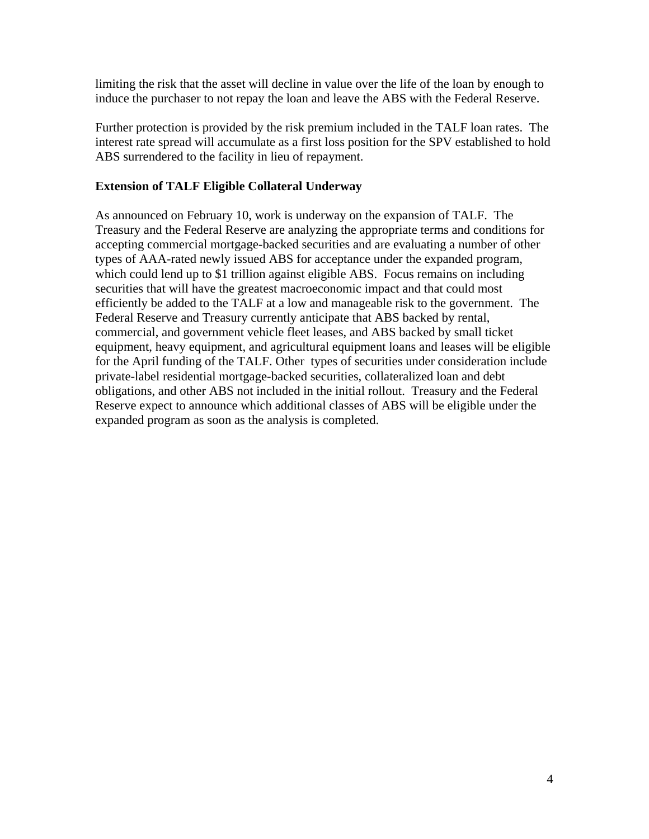limiting the risk that the asset will decline in value over the life of the loan by enough to induce the purchaser to not repay the loan and leave the ABS with the Federal Reserve.

Further protection is provided by the risk premium included in the TALF loan rates. The interest rate spread will accumulate as a first loss position for the SPV established to hold ABS surrendered to the facility in lieu of repayment.

# **Extension of TALF Eligible Collateral Underway**

As announced on February 10, work is underway on the expansion of TALF. The Treasury and the Federal Reserve are analyzing the appropriate terms and conditions for accepting commercial mortgage-backed securities and are evaluating a number of other types of AAA-rated newly issued ABS for acceptance under the expanded program, which could lend up to \$1 trillion against eligible ABS. Focus remains on including securities that will have the greatest macroeconomic impact and that could most efficiently be added to the TALF at a low and manageable risk to the government. The Federal Reserve and Treasury currently anticipate that ABS backed by rental, commercial, and government vehicle fleet leases, and ABS backed by small ticket equipment, heavy equipment, and agricultural equipment loans and leases will be eligible for the April funding of the TALF. Other types of securities under consideration include private-label residential mortgage-backed securities, collateralized loan and debt obligations, and other ABS not included in the initial rollout. Treasury and the Federal Reserve expect to announce which additional classes of ABS will be eligible under the expanded program as soon as the analysis is completed.